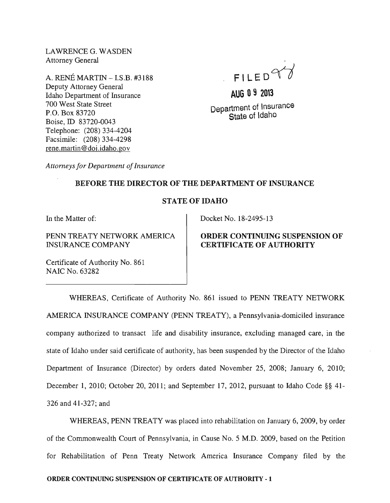LAWRENCE G. WASDEN Attorney General

A. RENE MARTIN -LS.B. #3188 Deputy Attorney General Idaho Department of Insurance 700 West State Street P.O. Box 83720 Boise, ID 83720-0043 Telephone: (208) 334-4204 Facsimile: (208) 334-4298 rene.martin@doi.idaho.gov

- FILED $\vee$ 

**AUG 09 2013**  Department of Insurance State of Idaho

*Attorneys for Department of Insurance* 

### BEFORE THE DIRECTOR OF THE DEPARTMENT OF INSURANCE

## STATE OF IDAHO

In the Matter of:

PENN TREATY NETWORK AMERICA INSURANCE COMPANY

Certificate of Authority No. 861 NAIC No. 63282

Docket No. 18-2495-13

# ORDER CONTINUING SUSPENSION OF CERTIFICATE OF AUTHORITY

WHEREAS, Certificate of Authority No. 861 issued to PENN TREATY NETWORK AMERICA INSURANCE COMPANY (PENN TREATY), a Pennsylvania-domiciled insurance company authorized to transact life and disability insurance, excluding managed care, in the state of Idaho under said certificate of authority, has been suspended by the Director of the Idaho Department of Insurance (Director) by orders dated November 25, 2008; January 6, 2010; December 1, 2010; October 20, 2011; and September 17, 2012, pursuant to Idaho Code §§ 41-326 and 41-327; and

WHEREAS, PENN TREATY was placed into rehabilitation on January 6, 2009, by order of the Commonwealth Court of Pennsylvania, in Cause No.5 M.D. 2009, based on the Petition for Rehabilitation of Penn Treaty Network America Insurance Company filed by the

## ORDER CONTINUING SUSPENSION OF CERTIFICATE OF AUTHORITY· 1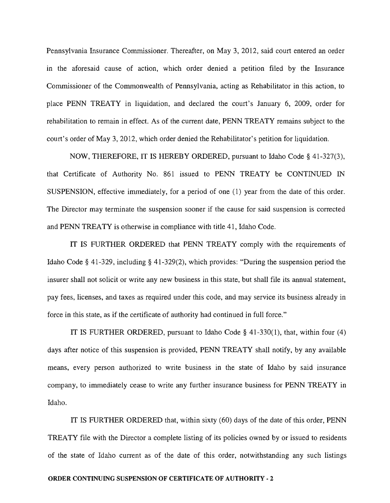Pennsylvania Insurance Commissioner. Thereafter, on May 3, 2012, said court entered an order in the aforesaid cause of action, which order denied a petition filed by the Insurance Commissioner of the Commonwealth of Pennsylvania, acting as Rehabilitator in this action, to place PENN TREATY in liquidation, and declared the court's January 6, 2009, order for rehabilitation to remain in effect. As of the current date, PENN TREATY remains subject to the court's order of May 3, 2012, which order denied the Rehabilitator's petition for liquidation.

NOW, THEREFORE, IT IS HEREBY ORDERED, pursuant to Idaho Code § 41-327(3), that Certificate of Authority No. 861 issued to PENN TREATY be CONTINUED IN SUSPENSION, effective immediately, for a period of one (1) year from the date of this order. The Director may terminate the suspension sooner if the cause for said suspension is corrected and PENN TREATY is otherwise in compliance with title 41, Idaho Code.

IT IS FURTHER ORDERED that PENN TREATY comply with the requirements of Idaho Code § 41-329, including § 41-329(2), which provides: "During the suspension period the insurer shall not solicit or write any new business in this state, but shall file its annual statement, pay fees, licenses, and taxes as required under this code, and may service its business already in force in this state, as if the certificate of authority had continued in full force."

IT IS FURTHER ORDERED, pursuant to Idaho Code  $\S$  41-330(1), that, within four (4) days after notice of this suspension is provided, PENN TREATY shall notify, by any available means, every person authorized to write business in the state of Idaho by said insurance company, to immediately cease to write any further insurance business for PENN TREATY in Idaho.

IT IS FURTHER ORDERED that, within sixty (60) days of the date of this order, PENN TREATY file with the Director a complete listing of its policies owned by or issued to residents of the state of Idaho current as of the date of this order, notwithstanding any such listings

#### ORDER CONTINUING SUSPENSION OF CERTIFICATE OF AUTHORITY - 2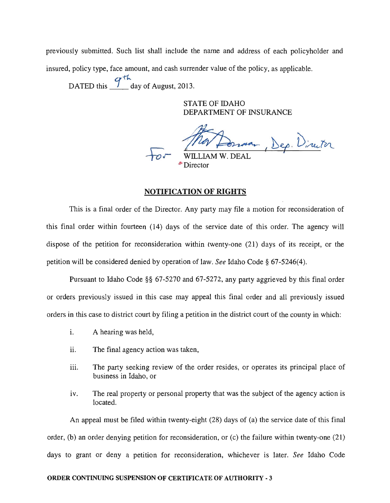previously submitted. Such list shall include the name and address of each policyholder and insured, policy type, face amount, and cash surrender value of the policy, as applicable.

DATED this  $\frac{9^{th}}{10}$  day of August, 2013.

STATE OF IDAHO DEPARTMENT OF INSURANCE

room, Dep. Director

WILLIAM W. DEAL <sup>\*</sup>Director

#### **NOTIFICATION OF RIGHTS**

This is a final order of the Director. Any party may file a motion for reconsideration of this final order within fourteen (14) days of the service date of this order. The agency will dispose of the petition for reconsideration within twenty-one (21) days of its receipt, or the petition will be considered denied by operation of law. *See* Idaho Code § 67-5246(4).

Pursuant to Idaho Code §§ 67-5270 and 67-5272, any party aggrieved by this final order or orders previously issued in this case may appeal this final order and all previously issued orders in this case to district court by filing a petition in the district court of the county in which:

- i. A hearing was held,
- ii. The final agency action was taken,
- iii. The party seeking review of the order resides, or operates its principal place of business in Idaho, or
- iv. The real property or personal property that was the subject of the agency action is located.

An appeal must be filed within twenty-eight (28) days of (a) the service date of this final order, (b) an order denying petition for reconsideration, or (c) the failure within twenty-one (21) days to grant or deny a petition for reconsideration, whichever is later. *See* Idaho Code

#### **ORDER CONTINUING SUSPENSION OF CERTIFICATE OF AUTHORITY·** 3